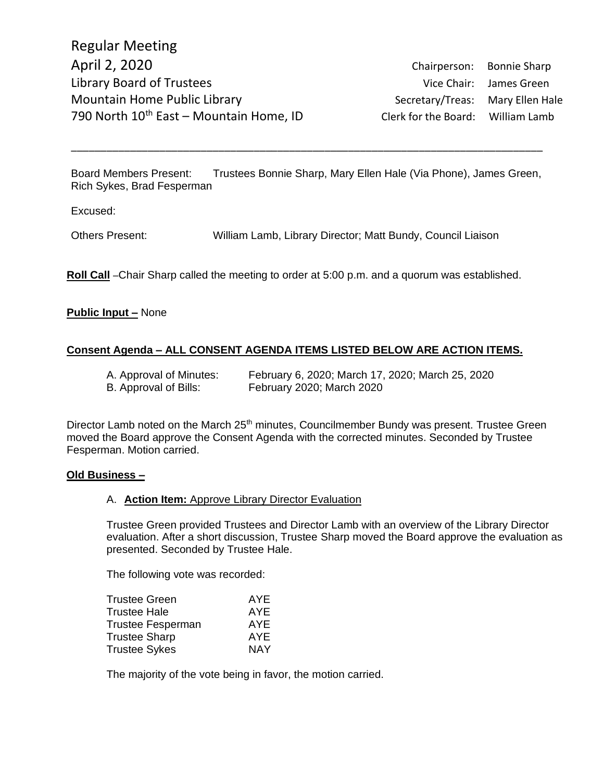Board Members Present: Trustees Bonnie Sharp, Mary Ellen Hale (Via Phone), James Green, Rich Sykes, Brad Fesperman

\_\_\_\_\_\_\_\_\_\_\_\_\_\_\_\_\_\_\_\_\_\_\_\_\_\_\_\_\_\_\_\_\_\_\_\_\_\_\_\_\_\_\_\_\_\_\_\_\_\_\_\_\_\_\_\_\_\_\_\_\_\_\_\_\_\_\_\_\_\_\_\_\_\_\_\_\_\_\_\_

Excused:

Others Present: William Lamb, Library Director; Matt Bundy, Council Liaison

**Roll Call** –Chair Sharp called the meeting to order at 5:00 p.m. and a quorum was established.

### **Public Input –** None

### **Consent Agenda – ALL CONSENT AGENDA ITEMS LISTED BELOW ARE ACTION ITEMS.**

| A. Approval of Minutes: | February 6, 2020; March 17, 2020; March 25, 2020 |
|-------------------------|--------------------------------------------------|
| B. Approval of Bills:   | February 2020; March 2020                        |

Director Lamb noted on the March 25<sup>th</sup> minutes, Councilmember Bundy was present. Trustee Green moved the Board approve the Consent Agenda with the corrected minutes. Seconded by Trustee Fesperman. Motion carried.

#### **Old Business –**

#### A. **Action Item:** Approve Library Director Evaluation

Trustee Green provided Trustees and Director Lamb with an overview of the Library Director evaluation. After a short discussion, Trustee Sharp moved the Board approve the evaluation as presented. Seconded by Trustee Hale.

The following vote was recorded:

| Trustee Green        | AYE        |
|----------------------|------------|
| Trustee Hale         | AYE        |
| Trustee Fesperman    | AYE        |
| <b>Trustee Sharp</b> | AYE        |
| Trustee Sykes        | <b>NAY</b> |
|                      |            |

The majority of the vote being in favor, the motion carried.